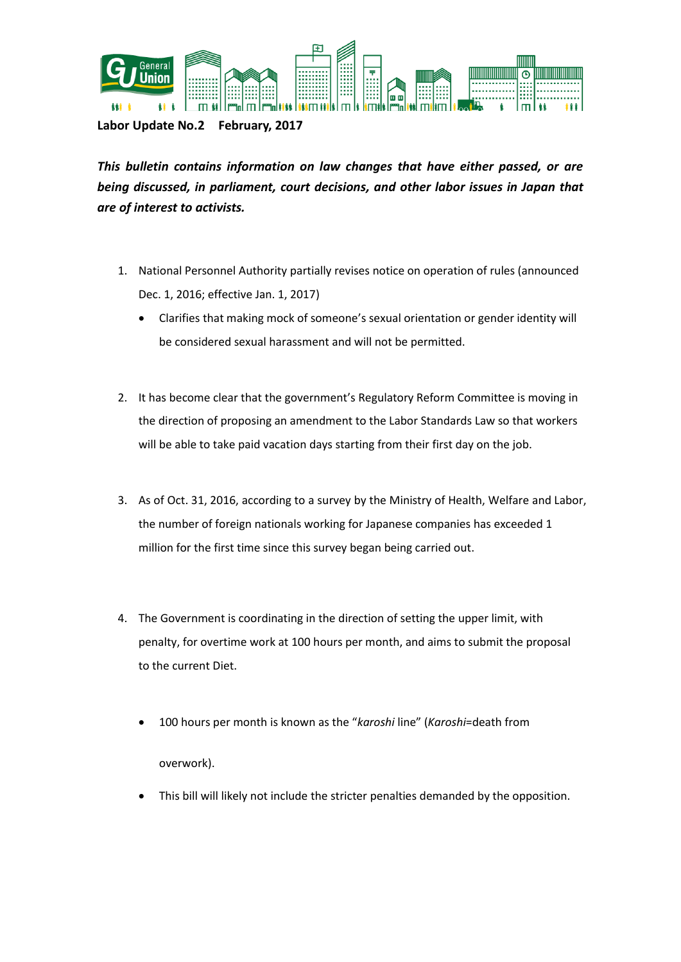

**Labor Update No.2 February, 2017**

*This bulletin contains information on law changes that have either passed, or are being discussed, in parliament, court decisions, and other labor issues in Japan that are of interest to activists.* 

- 1. National Personnel Authority partially revises notice on operation of rules (announced Dec. 1, 2016; effective Jan. 1, 2017)
	- Clarifies that making mock of someone's sexual orientation or gender identity will be considered sexual harassment and will not be permitted.
- 2. It has become clear that the government's Regulatory Reform Committee is moving in the direction of proposing an amendment to the Labor Standards Law so that workers will be able to take paid vacation days starting from their first day on the job.
- 3. As of Oct. 31, 2016, according to a survey by the Ministry of Health, Welfare and Labor, the number of foreign nationals working for Japanese companies has exceeded 1 million for the first time since this survey began being carried out.
- 4. The Government is coordinating in the direction of setting the upper limit, with penalty, for overtime work at 100 hours per month, and aims to submit the proposal to the current Diet.
	- 100 hours per month is known as the "*karoshi* line" (*Karoshi*=death from overwork).
	- This bill will likely not include the stricter penalties demanded by the opposition.